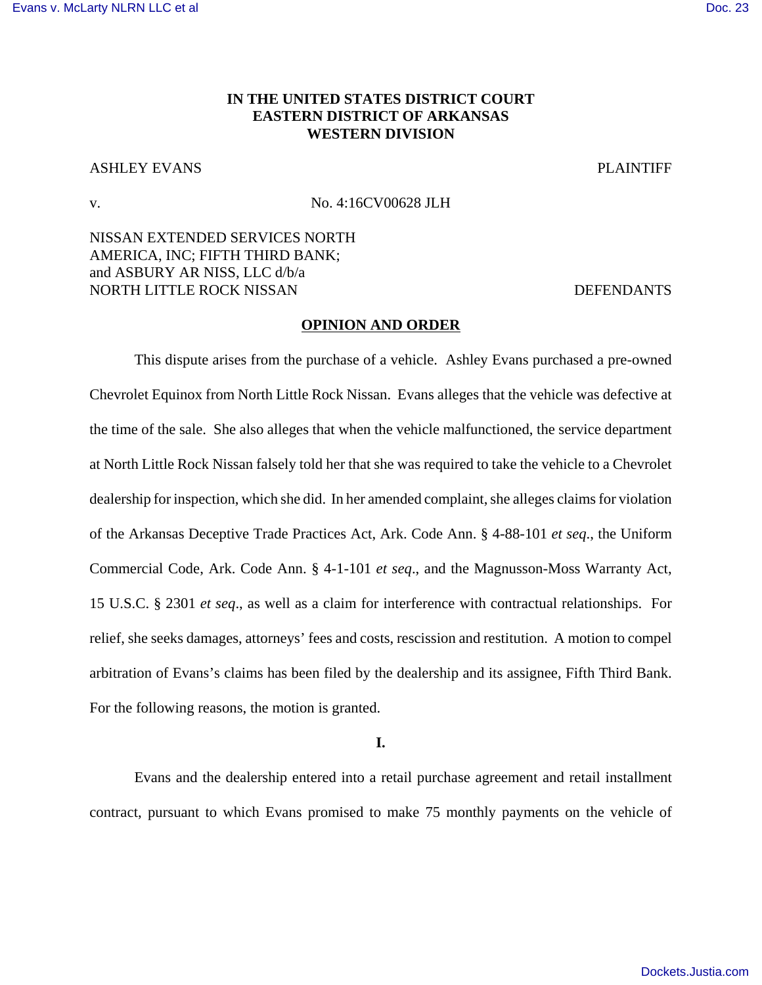# **IN THE UNITED STATES DISTRICT COURT EASTERN DISTRICT OF ARKANSAS WESTERN DIVISION**

## ASHLEY EVANS PLAINTIFF

v. No. 4:16CV00628 JLH

NISSAN EXTENDED SERVICES NORTH AMERICA, INC; FIFTH THIRD BANK; and ASBURY AR NISS, LLC d/b/a NORTH LITTLE ROCK NISSAN DEFENDANTS

#### **OPINION AND ORDER**

This dispute arises from the purchase of a vehicle. Ashley Evans purchased a pre-owned Chevrolet Equinox from North Little Rock Nissan. Evans alleges that the vehicle was defective at the time of the sale. She also alleges that when the vehicle malfunctioned, the service department at North Little Rock Nissan falsely told her that she was required to take the vehicle to a Chevrolet dealership for inspection, which she did. In her amended complaint, she alleges claims for violation of the Arkansas Deceptive Trade Practices Act, Ark. Code Ann. § 4-88-101 *et seq*., the Uniform Commercial Code, Ark. Code Ann. § 4-1-101 *et seq*., and the Magnusson-Moss Warranty Act, 15 U.S.C. § 2301 *et seq*., as well as a claim for interference with contractual relationships. For relief, she seeks damages, attorneys' fees and costs, rescission and restitution. A motion to compel arbitration of Evans's claims has been filed by the dealership and its assignee, Fifth Third Bank. For the following reasons, the motion is granted.

**I.**

Evans and the dealership entered into a retail purchase agreement and retail installment contract, pursuant to which Evans promised to make 75 monthly payments on the vehicle of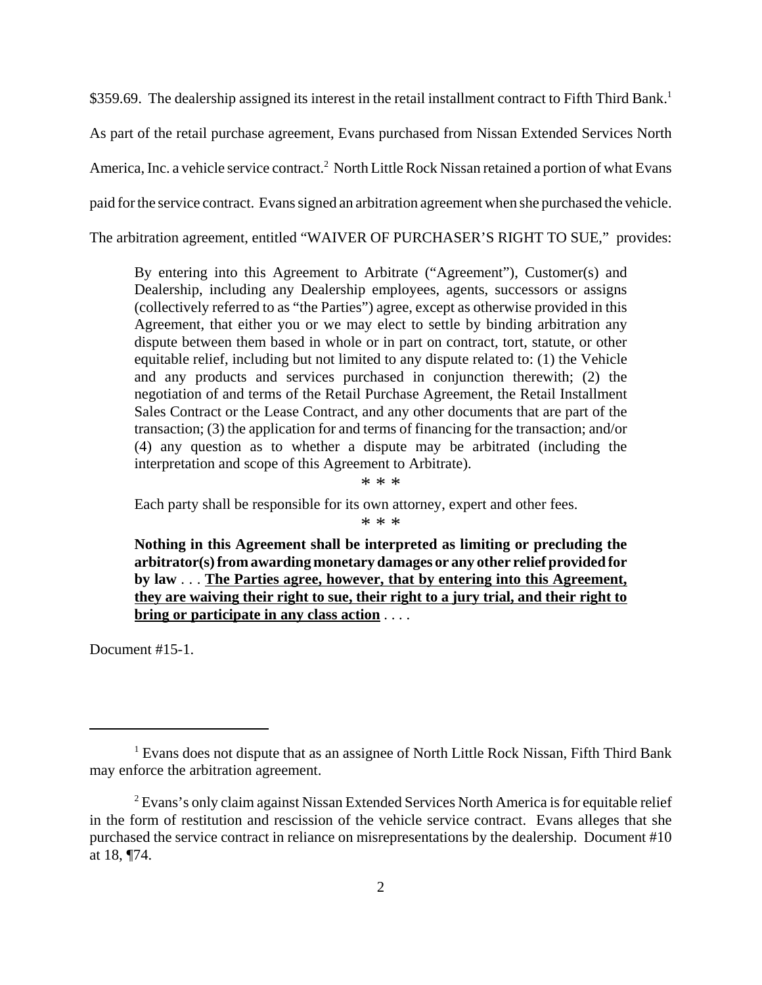\$359.69. The dealership assigned its interest in the retail installment contract to Fifth Third Bank.<sup>1</sup> As part of the retail purchase agreement, Evans purchased from Nissan Extended Services North America, Inc. a vehicle service contract.<sup>2</sup> North Little Rock Nissan retained a portion of what Evans paid for the service contract. Evans signed an arbitration agreement when she purchased the vehicle. The arbitration agreement, entitled "WAIVER OF PURCHASER'S RIGHT TO SUE," provides:

By entering into this Agreement to Arbitrate ("Agreement"), Customer(s) and Dealership, including any Dealership employees, agents, successors or assigns (collectively referred to as "the Parties") agree, except as otherwise provided in this Agreement, that either you or we may elect to settle by binding arbitration any dispute between them based in whole or in part on contract, tort, statute, or other equitable relief, including but not limited to any dispute related to: (1) the Vehicle and any products and services purchased in conjunction therewith; (2) the negotiation of and terms of the Retail Purchase Agreement, the Retail Installment Sales Contract or the Lease Contract, and any other documents that are part of the transaction; (3) the application for and terms of financing for the transaction; and/or (4) any question as to whether a dispute may be arbitrated (including the interpretation and scope of this Agreement to Arbitrate).

\* \* \*

Each party shall be responsible for its own attorney, expert and other fees.

\* \* \*

**Nothing in this Agreement shall be interpreted as limiting or precluding the arbitrator(s) from awarding monetary damages or any other relief provided for by law** . . . **The Parties agree, however, that by entering into this Agreement, they are waiving their right to sue, their right to a jury trial, and their right to bring or participate in any class action** . . . .

Document #15-1.

<sup>&</sup>lt;sup>1</sup> Evans does not dispute that as an assignee of North Little Rock Nissan, Fifth Third Bank may enforce the arbitration agreement.

<sup>&</sup>lt;sup>2</sup> Evans's only claim against Nissan Extended Services North America is for equitable relief in the form of restitution and rescission of the vehicle service contract. Evans alleges that she purchased the service contract in reliance on misrepresentations by the dealership. Document #10 at 18, ¶74.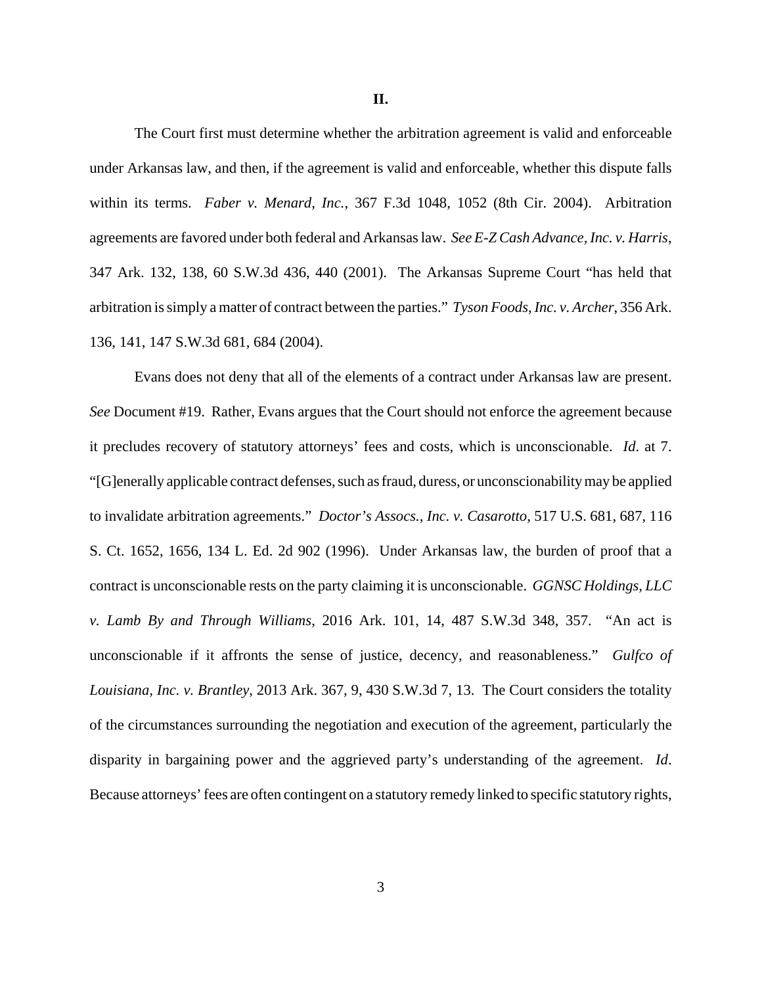**II.**

The Court first must determine whether the arbitration agreement is valid and enforceable under Arkansas law, and then, if the agreement is valid and enforceable, whether this dispute falls within its terms. *Faber v. Menard, Inc.*, 367 F.3d 1048, 1052 (8th Cir. 2004). Arbitration agreements are favored under both federal and Arkansas law. *See E-Z Cash Advance, Inc. v. Harris*, 347 Ark. 132, 138, 60 S.W.3d 436, 440 (2001). The Arkansas Supreme Court "has held that arbitration is simply a matter of contract between the parties." *Tyson Foods, Inc. v. Archer*, 356 Ark. 136, 141, 147 S.W.3d 681, 684 (2004).

Evans does not deny that all of the elements of a contract under Arkansas law are present. *See* Document #19. Rather, Evans argues that the Court should not enforce the agreement because it precludes recovery of statutory attorneys' fees and costs, which is unconscionable. *Id*. at 7. "[G]enerally applicable contract defenses, such as fraud, duress, or unconscionability may be applied to invalidate arbitration agreements." *Doctor's Assocs., Inc. v. Casarotto*, 517 U.S. 681, 687, 116 S. Ct. 1652, 1656, 134 L. Ed. 2d 902 (1996). Under Arkansas law, the burden of proof that a contract is unconscionable rests on the party claiming it is unconscionable. *GGNSC Holdings, LLC v. Lamb By and Through Williams*, 2016 Ark. 101, 14, 487 S.W.3d 348, 357. "An act is unconscionable if it affronts the sense of justice, decency, and reasonableness." *Gulfco of Louisiana, Inc. v. Brantley*, 2013 Ark. 367, 9, 430 S.W.3d 7, 13. The Court considers the totality of the circumstances surrounding the negotiation and execution of the agreement, particularly the disparity in bargaining power and the aggrieved party's understanding of the agreement. *Id*. Because attorneys' fees are often contingent on a statutory remedy linked to specific statutory rights,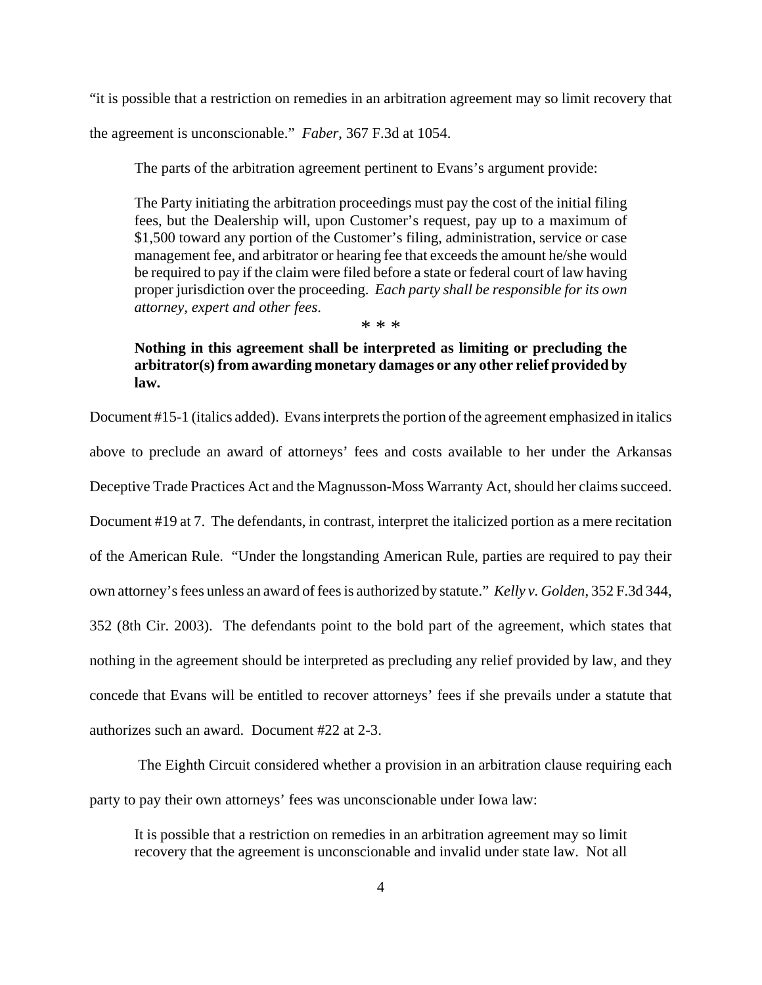"it is possible that a restriction on remedies in an arbitration agreement may so limit recovery that the agreement is unconscionable." *Faber*, 367 F.3d at 1054.

The parts of the arbitration agreement pertinent to Evans's argument provide:

The Party initiating the arbitration proceedings must pay the cost of the initial filing fees, but the Dealership will, upon Customer's request, pay up to a maximum of \$1,500 toward any portion of the Customer's filing, administration, service or case management fee, and arbitrator or hearing fee that exceeds the amount he/she would be required to pay if the claim were filed before a state or federal court of law having proper jurisdiction over the proceeding. *Each party shall be responsible for its own attorney, expert and other fees*.

\* \* \*

# **Nothing in this agreement shall be interpreted as limiting or precluding the arbitrator(s) from awarding monetary damages or any other relief provided by law.**

Document #15-1 (italics added). Evans interprets the portion of the agreement emphasized in italics above to preclude an award of attorneys' fees and costs available to her under the Arkansas Deceptive Trade Practices Act and the Magnusson-Moss Warranty Act, should her claims succeed. Document #19 at 7. The defendants, in contrast, interpret the italicized portion as a mere recitation of the American Rule. "Under the longstanding American Rule, parties are required to pay their own attorney's fees unless an award of fees is authorized by statute." *Kelly v. Golden*, 352 F.3d 344, 352 (8th Cir. 2003). The defendants point to the bold part of the agreement, which states that nothing in the agreement should be interpreted as precluding any relief provided by law, and they concede that Evans will be entitled to recover attorneys' fees if she prevails under a statute that authorizes such an award. Document #22 at 2-3.

 The Eighth Circuit considered whether a provision in an arbitration clause requiring each party to pay their own attorneys' fees was unconscionable under Iowa law:

It is possible that a restriction on remedies in an arbitration agreement may so limit recovery that the agreement is unconscionable and invalid under state law. Not all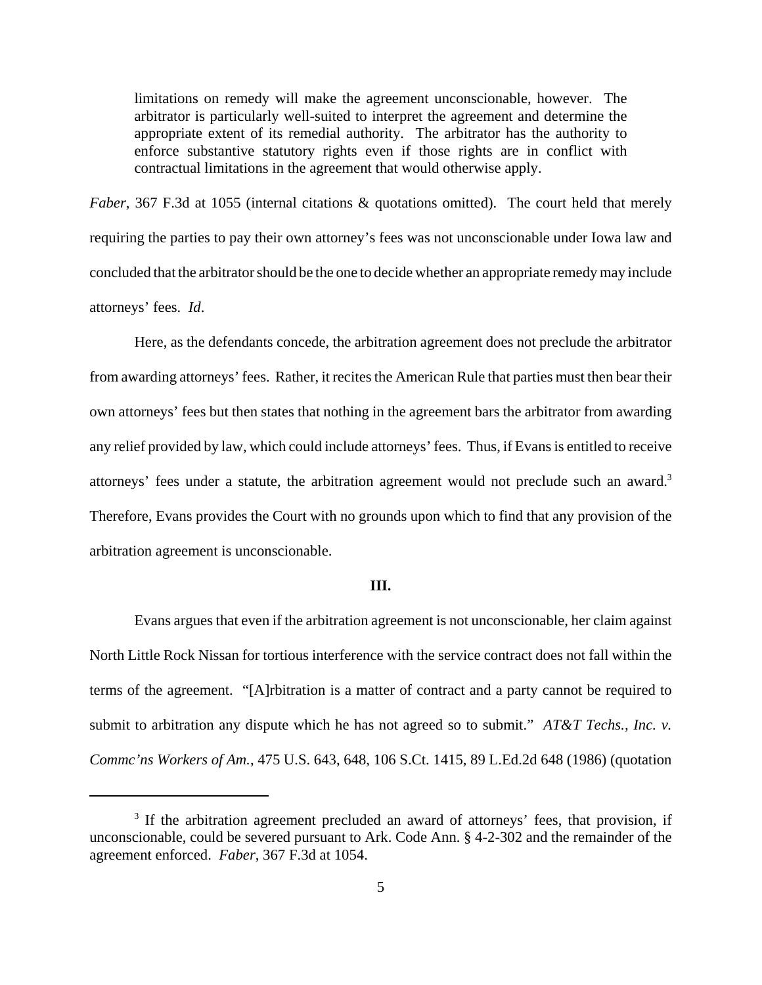limitations on remedy will make the agreement unconscionable, however. The arbitrator is particularly well-suited to interpret the agreement and determine the appropriate extent of its remedial authority. The arbitrator has the authority to enforce substantive statutory rights even if those rights are in conflict with contractual limitations in the agreement that would otherwise apply.

*Faber*, 367 F.3d at 1055 (internal citations & quotations omitted). The court held that merely requiring the parties to pay their own attorney's fees was not unconscionable under Iowa law and concluded that the arbitrator should be the one to decide whether an appropriate remedy may include attorneys' fees. *Id*.

Here, as the defendants concede, the arbitration agreement does not preclude the arbitrator from awarding attorneys' fees. Rather, it recites the American Rule that parties must then bear their own attorneys' fees but then states that nothing in the agreement bars the arbitrator from awarding any relief provided by law, which could include attorneys' fees. Thus, if Evans is entitled to receive attorneys' fees under a statute, the arbitration agreement would not preclude such an award.<sup>3</sup> Therefore, Evans provides the Court with no grounds upon which to find that any provision of the arbitration agreement is unconscionable.

### **III.**

Evans argues that even if the arbitration agreement is not unconscionable, her claim against North Little Rock Nissan for tortious interference with the service contract does not fall within the terms of the agreement. "[A]rbitration is a matter of contract and a party cannot be required to submit to arbitration any dispute which he has not agreed so to submit." *AT&T Techs., Inc. v. Commc'ns Workers of Am.*, 475 U.S. 643, 648, 106 S.Ct. 1415, 89 L.Ed.2d 648 (1986) (quotation

<sup>&</sup>lt;sup>3</sup> If the arbitration agreement precluded an award of attorneys' fees, that provision, if unconscionable, could be severed pursuant to Ark. Code Ann. § 4-2-302 and the remainder of the agreement enforced. *Faber*, 367 F.3d at 1054.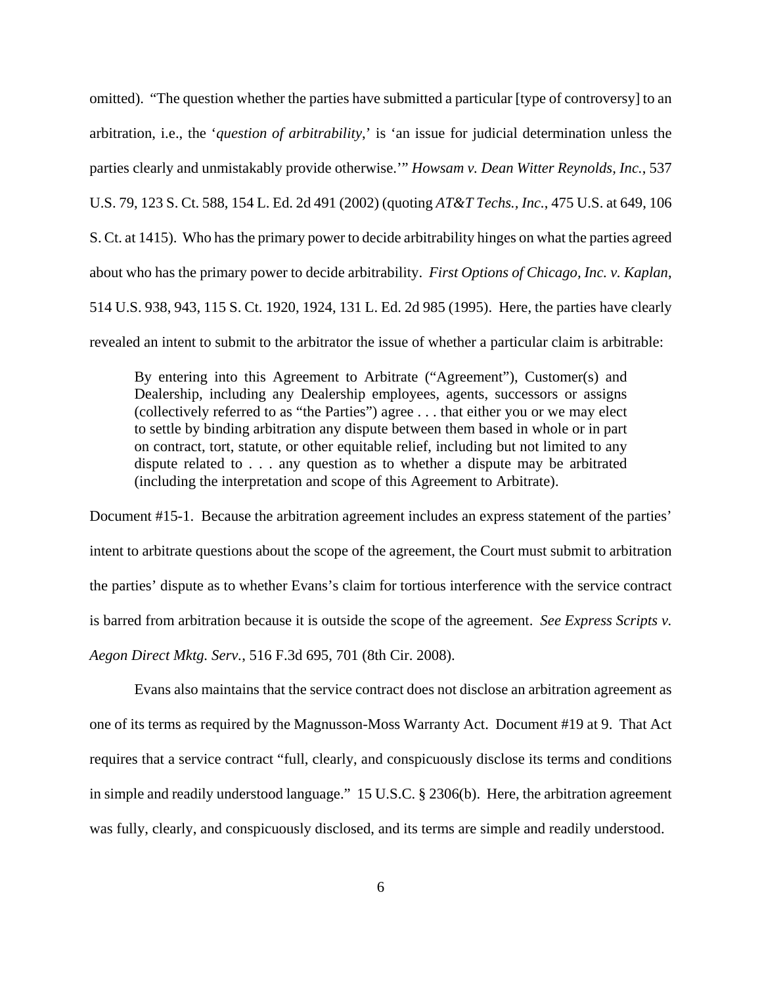omitted). "The question whether the parties have submitted a particular [type of controversy] to an arbitration, i.e., the '*question of arbitrability*,' is 'an issue for judicial determination unless the parties clearly and unmistakably provide otherwise.'" *Howsam v. Dean Witter Reynolds, Inc.*, 537 U.S. 79, 123 S. Ct. 588, 154 L. Ed. 2d 491 (2002) (quoting *AT&T Techs., Inc.*, 475 U.S. at 649, 106 S. Ct. at 1415). Who has the primary power to decide arbitrability hinges on what the parties agreed about who has the primary power to decide arbitrability. *First Options of Chicago, Inc. v. Kaplan*, 514 U.S. 938, 943, 115 S. Ct. 1920, 1924, 131 L. Ed. 2d 985 (1995). Here, the parties have clearly revealed an intent to submit to the arbitrator the issue of whether a particular claim is arbitrable:

By entering into this Agreement to Arbitrate ("Agreement"), Customer(s) and Dealership, including any Dealership employees, agents, successors or assigns (collectively referred to as "the Parties") agree . . . that either you or we may elect to settle by binding arbitration any dispute between them based in whole or in part on contract, tort, statute, or other equitable relief, including but not limited to any dispute related to . . . any question as to whether a dispute may be arbitrated (including the interpretation and scope of this Agreement to Arbitrate).

Document #15-1. Because the arbitration agreement includes an express statement of the parties' intent to arbitrate questions about the scope of the agreement, the Court must submit to arbitration the parties' dispute as to whether Evans's claim for tortious interference with the service contract is barred from arbitration because it is outside the scope of the agreement. *See Express Scripts v. Aegon Direct Mktg. Serv.*, 516 F.3d 695, 701 (8th Cir. 2008).

Evans also maintains that the service contract does not disclose an arbitration agreement as one of its terms as required by the Magnusson-Moss Warranty Act. Document #19 at 9. That Act requires that a service contract "full, clearly, and conspicuously disclose its terms and conditions in simple and readily understood language." 15 U.S.C. § 2306(b). Here, the arbitration agreement was fully, clearly, and conspicuously disclosed, and its terms are simple and readily understood.